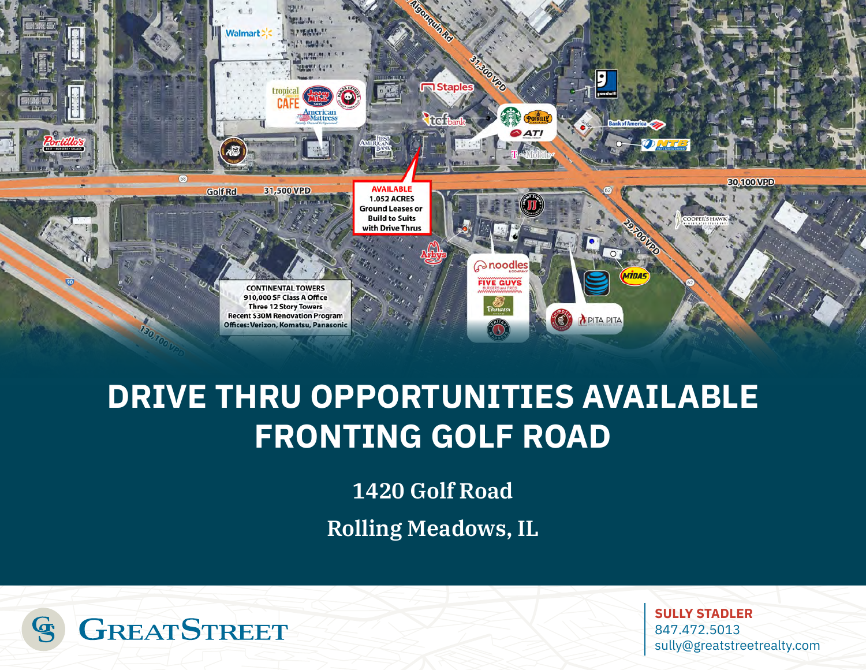

# **DRIVE THRU OPPORTUNITIES AVAILABLE FRONTING GOLF ROAD**

**1420 Golf Road Rolling Meadows, IL**



**SULLY STADLER** 847.472.5013 sully@greatstreetrealty.com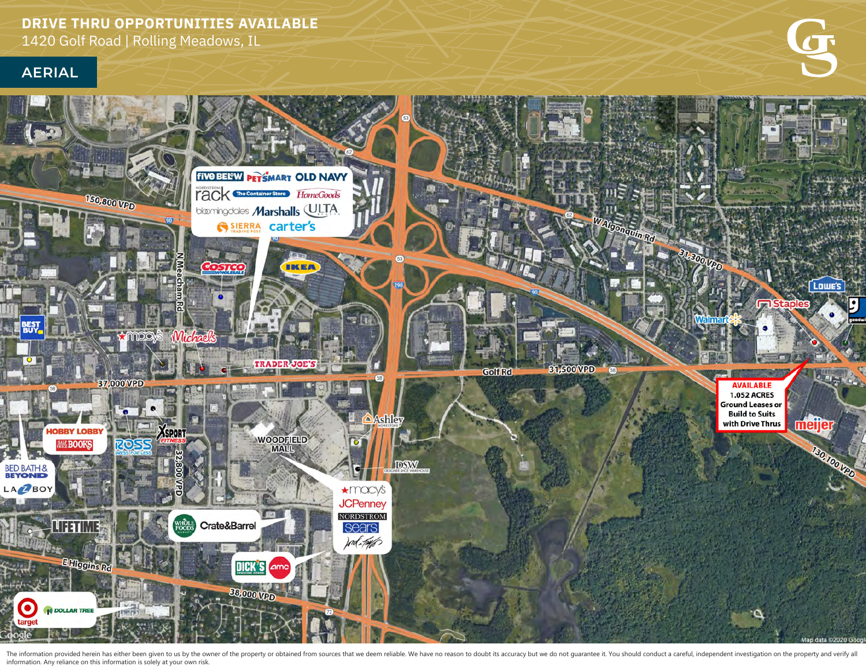## **AERIAL**



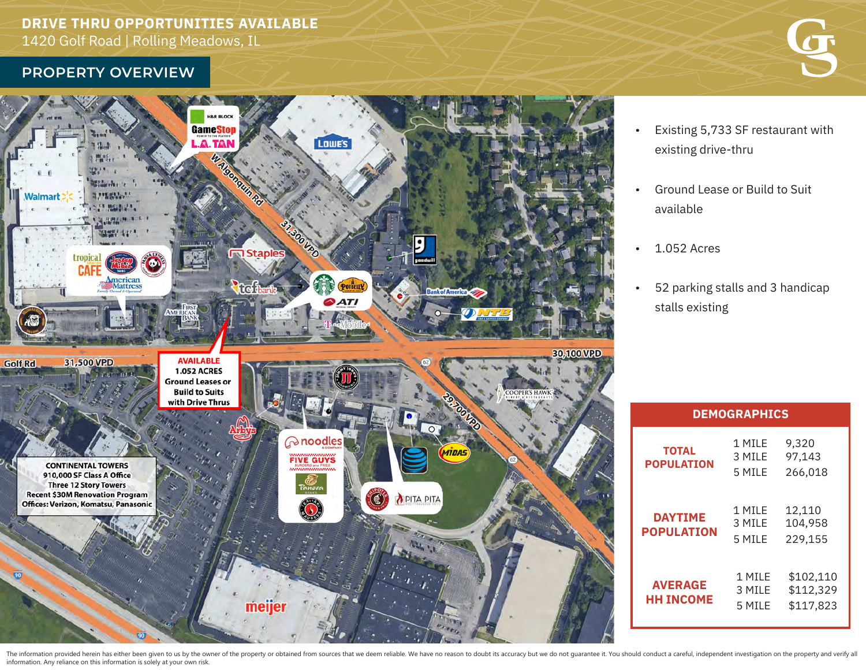### **PROPERTY OVERVIEW**





- Existing 5,733 SF restaurant with existing drive-thru
- Ground Lease or Build to Suit available
- 1.052 Acres
- 52 parking stalls and 3 handicap stalls existing

| <b>DEMOGRAPHICS</b>                 |                            |                                     |
|-------------------------------------|----------------------------|-------------------------------------|
| <b>TOTAL</b><br><b>POPULATION</b>   | 1 MILE<br>3 MILE<br>5 MILE | 9,320<br>97,143<br>266,018          |
| <b>DAYTIME</b><br><b>POPULATION</b> | 1 MILE<br>3 MILE<br>5 MILE | 12,110<br>104,958<br>229,155        |
| <b>AVERAGE</b><br><b>HH INCOME</b>  | 1 MILE<br>3 MILE<br>5 MILE | \$102,110<br>\$112,329<br>\$117.823 |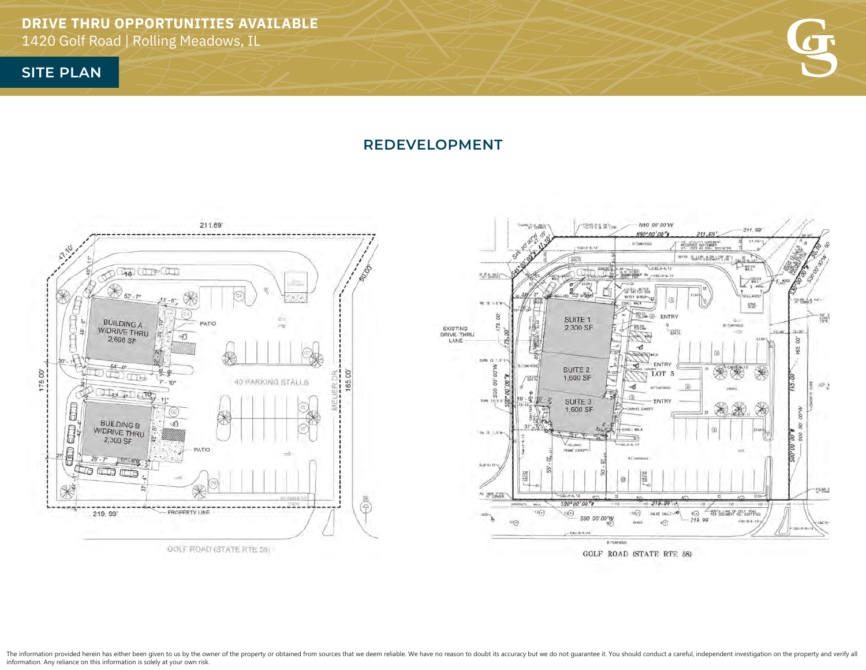**SITE PLAN**



#### **REDEVELOPMENT**





GOLF ROAD (STATE RTE 58)